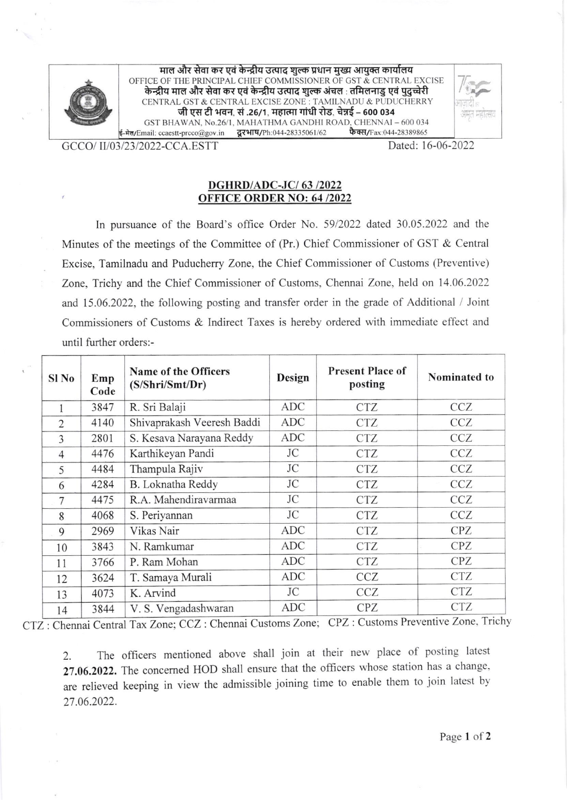

माल और सेवा कर एवं केन्द्रीय उत्पाद शुल्क प्रधान मुख्य आयुक्त कार्यालय OFFICE OF THE PRINCIPAL CHIEF COMMISSIONER OF GST & CENTRAL EXCISE<br>केन्द्रीय माल और सेवा कर एवं केन्द्रीय उत्पाद शुल्क अंचल : तमिलनाडु एवं पुदुच्चेरी CENTRAL GST & CENTRAL EXCISE ZONE : TAMILNADU & PUDUCHERRY<br>जी एस टी भवन, सं .26/1, महात्मा गांधी रोड, चेन्नई – 600 034 GST BHAWAN, No.26/1, MAHATHMA GANDHI ROAD, CHENNAI - 600 034 ई-मेल/Email: ccaestt-prcco@gov.in द्वरभाष/Ph:044-28335061/62 फैक्स/Fax:044-28389865



GCCO/ II/03/23/2022-CCA.ESTT

Dated: 16-06-2022

## **DGHRD/ADC-JC/63/2022 OFFICE ORDER NO: 64/2022**

In pursuance of the Board's office Order No. 59/2022 dated 30.05.2022 and the Minutes of the meetings of the Committee of (Pr.) Chief Commissioner of GST & Central Excise, Tamilnadu and Puducherry Zone, the Chief Commissioner of Customs (Preventive) Zone, Trichy and the Chief Commissioner of Customs, Chennai Zone, held on 14.06.2022 and 15.06.2022, the following posting and transfer order in the grade of Additional / Joint Commissioners of Customs & Indirect Taxes is hereby ordered with immediate effect and until further orders:-

| Sl <sub>No</sub> | Emp<br>Code | Name of the Officers<br>(S/Shri/Smt/Dr) | Design     | <b>Present Place of</b><br>posting | Nominated to |
|------------------|-------------|-----------------------------------------|------------|------------------------------------|--------------|
|                  | 3847        | R. Sri Balaji                           | <b>ADC</b> | <b>CTZ</b>                         | <b>CCZ</b>   |
| $\overline{2}$   | 4140        | Shivaprakash Veeresh Baddi              | ADC        | <b>CTZ</b>                         | CCZ          |
| 3                | 2801        | S. Kesava Narayana Reddy                | ADC        | <b>CTZ</b>                         | CCZ          |
| $\overline{4}$   | 4476        | Karthikeyan Pandi                       | JC         | <b>CTZ</b>                         | <b>CCZ</b>   |
| 5                | 4484        | Thampula Rajiv                          | JC         | <b>CTZ</b>                         | <b>CCZ</b>   |
| 6                | 4284        | <b>B.</b> Loknatha Reddy                | <b>JC</b>  | <b>CTZ</b>                         | <b>CCZ</b>   |
| 7                | 4475        | R.A. Mahendiravarmaa                    | JC         | <b>CTZ</b>                         | <b>CCZ</b>   |
| 8                | 4068        | S. Periyannan                           | JC         | <b>CTZ</b>                         | <b>CCZ</b>   |
| 9                | 2969        | Vikas Nair                              | <b>ADC</b> | <b>CTZ</b>                         | <b>CPZ</b>   |
| 10               | 3843        | N. Ramkumar                             | <b>ADC</b> | <b>CTZ</b>                         | <b>CPZ</b>   |
| 11               | 3766        | P. Ram Mohan                            | ADC        | <b>CTZ</b>                         | <b>CPZ</b>   |
| 12               | 3624        | T. Samaya Murali                        | <b>ADC</b> | <b>CCZ</b>                         | <b>CTZ</b>   |
| 13               | 4073        | K. Arvind                               | JC         | CCZ                                | <b>CTZ</b>   |
| 14               | 3844        | V. S. Vengadashwaran                    | ADC        | <b>CPZ</b>                         | <b>CTZ</b>   |

CTZ: Chennai Central Tax Zone; CCZ: Chennai Customs Zone; CPZ: Customs Preventive Zone, Trichy

The officers mentioned above shall join at their new place of posting latest 2. 27.06.2022. The concerned HOD shall ensure that the officers whose station has a change, are relieved keeping in view the admissible joining time to enable them to join latest by 27.06.2022.